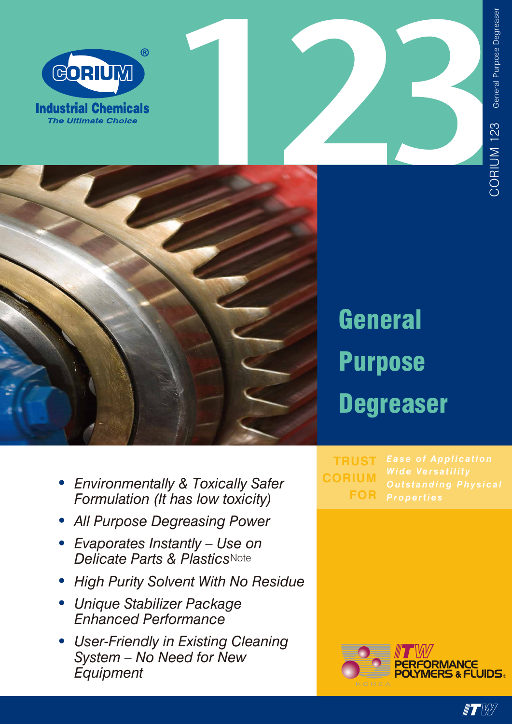







**General Purpose Degreaser** 

- Environmentally & Toxically Safer Formulation (It has low toxicity)
- All Purpose Degreasing Power
- Evaporates Instantly Use on<br>Delicate Parts & PlasticsNote
- **High Purity Solvent With No Residue**  $\bullet$
- Unique Stabilizer Package **Enhanced Performance**
- User-Friendly in Existing Cleaning System - No Need for New Equipment

**TRUST CORIUM FOR**